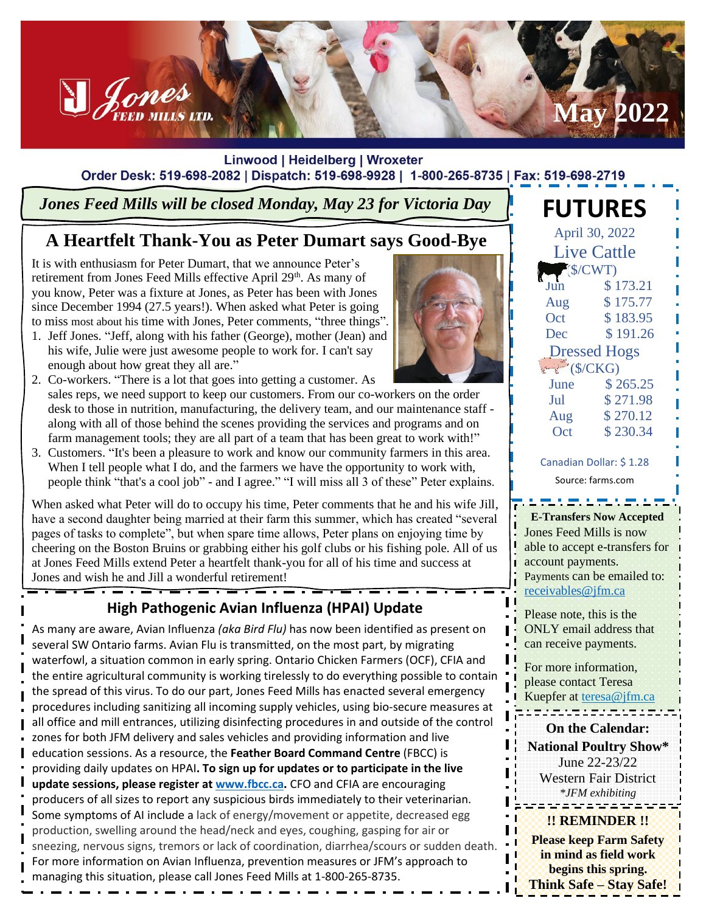

#### Linwood | Heidelberg | Wroxeter Order Desk: 519-698-2082 | Dispatch: 519-698-9928 | 1-800-265-8735 | Fax: 519-698-2719

## *Jones Feed Mills will be closed Monday, May 23 for Victoria Day*

# **A Heartfelt Thank-You as Peter Dumart says Good-Bye**

It is with enthusiasm for Peter Dumart, that we announce Peter's retirement from Jones Feed Mills effective April 29<sup>th</sup>. As many of you know, Peter was a fixture at Jones, as Peter has been with Jones since December 1994 (27.5 years!). When asked what Peter is going to miss most about his time with Jones, Peter comments, "three things".

- 1. Jeff Jones. "Jeff, along with his father (George), mother (Jean) and his wife, Julie were just awesome people to work for. I can't say enough about how great they all are."
- 2. Co-workers. "There is a lot that goes into getting a customer. As sales reps, we need support to keep our customers. From our co-workers on the order desk to those in nutrition, manufacturing, the delivery team, and our maintenance staff along with all of those behind the scenes providing the services and programs and on farm management tools; they are all part of a team that has been great to work with!"
- 3. Customers. "It's been a pleasure to work and know our community farmers in this area. When I tell people what I do, and the farmers we have the opportunity to work with, people think "that's a cool job" - and I agree." "I will miss all 3 of these" Peter explains.

When asked what Peter will do to occupy his time, Peter comments that he and his wife Jill, have a second daughter being married at their farm this summer, which has created "several pages of tasks to complete", but when spare time allows, Peter plans on enjoying time by cheering on the Boston Bruins or grabbing either his golf clubs or his fishing pole. All of us at Jones Feed Mills extend Peter a heartfelt thank-you for all of his time and success at Jones and wish he and Jill a wonderful retirement!

**High Pathogenic Avian Influenza (HPAI) Update**

As many are aware, Avian Influenza *(aka Bird Flu)* has now been identified as present on several SW Ontario farms. Avian Flu is transmitted, on the most part, by migrating waterfowl, a situation common in early spring. Ontario Chicken Farmers (OCF), CFIA and the entire agricultural community is working tirelessly to do everything possible to contain the spread of this virus. To do our part, Jones Feed Mills has enacted several emergency procedures including sanitizing all incoming supply vehicles, using bio-secure measures at all office and mill entrances, utilizing disinfecting procedures in and outside of the control zones for both JFM delivery and sales vehicles and providing information and live education sessions. As a resource, the **Feather Board Command Centre** (FBCC) is providing daily updates on HPAI**. To sign up for updates or to participate in the live update sessions, please register at [www.fbcc.ca.](http://www.fbcc.ca/)** CFO and CFIA are encouraging producers of all sizes to report any suspicious birds immediately to their veterinarian. Some symptoms of AI include a lack of energy/movement or appetite, decreased egg production, swelling around the head/neck and eyes, coughing, gasping for air or sneezing, nervous signs, tremors or lack of coordination, diarrhea/scours or sudden death. For more information on Avian Influenza, prevention measures or JFM's approach to managing this situation, please call Jones Feed Mills at 1-800-265-8735.



| Aug                                            | \$175.77 |  |
|------------------------------------------------|----------|--|
| Oct                                            | \$183.95 |  |
| Dec                                            | \$191.26 |  |
| <b>Dressed Hogs</b>                            |          |  |
| $\leftarrow$ (\$/CKG)                          |          |  |
| June                                           | \$265.25 |  |
| Jul                                            | \$271.98 |  |
| Aug                                            | \$270.12 |  |
| Oct                                            | \$230.34 |  |
|                                                |          |  |
| Canadian Dollar: \$1.28                        |          |  |
| Source: farms.com                              |          |  |
| <u> ಬರಾಜರಾಜನಾಯಕಾರಿ</u>                         |          |  |
| <b>E-Transfers Now Accepted</b>                |          |  |
| <b>Jones Feed Mills is now</b>                 |          |  |
| able to accept e-transfers for                 |          |  |
| account payments.                              |          |  |
| Payments can be emailed to:                    |          |  |
| receivables@jfm.ca                             |          |  |
| Please note, this is the                       |          |  |
| <b>ONLY</b> email address that                 |          |  |
| can receive payments.                          |          |  |
|                                                |          |  |
| For more information,<br>please contact Teresa |          |  |
| Kuepfer at teresa@jfm.ca                       |          |  |
| usista isistemist                              |          |  |
| <b>On the Calendar:</b>                        |          |  |
| <b>National Poultry Show*</b>                  |          |  |
| June 22-23/22                                  |          |  |
|                                                |          |  |

**FUTURES**

April 30, 2022 Live Cattle (\$/CWT)

\$ 173.21

Western Fair District *\*JFM exhibiting*

**!! REMINDER !! Please keep Farm Safety in mind as field work begins this spring. Think Safe – Stay Safe!**